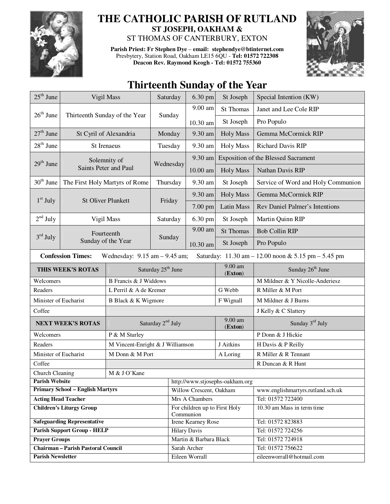

## **THE CATHOLIC PARISH OF RUTLAND ST JOSEPH, OAKHAM &**

ST THOMAS OF CANTERBURY, EXTON

**Parish Priest: Fr Stephen Dye** – **email: stephendye@btinternet.com** Presbytery, Station Road, Oakham LE15 6QU - **Tel: 01572 722308 Deacon Rev. Raymond Keogh - Tel: 01572 755360** 



## **Thirteenth Sunday of the Year**

| $25^{\text{th}}$ June                                                                                                | Vigil Mass                       |                               | Saturday                         | 6.30 pm                                    | St Joseph            | Special Intention (KW)                     |  |
|----------------------------------------------------------------------------------------------------------------------|----------------------------------|-------------------------------|----------------------------------|--------------------------------------------|----------------------|--------------------------------------------|--|
|                                                                                                                      | Thirteenth Sunday of the Year    |                               | Sunday                           | 9.00 am                                    | <b>St Thomas</b>     | Janet and Lee Cole RIP                     |  |
| $26th$ June                                                                                                          |                                  |                               |                                  | 10.30 am                                   | St Joseph            | Pro Populo                                 |  |
| $27th$ June                                                                                                          | St Cyril of Alexandria           |                               | Monday                           | 9.30 am                                    | <b>Holy Mass</b>     | Gemma McCormick RIP                        |  |
| $28th$ June                                                                                                          | St Irenaeus                      |                               | Tuesday                          | 9.30 am                                    | <b>Holy Mass</b>     | Richard Davis RIP                          |  |
| Solemnity of<br>$29th$ June                                                                                          |                                  |                               | Wednesday                        | 9.30 am                                    |                      | <b>Exposition of the Blessed Sacrament</b> |  |
|                                                                                                                      |                                  | Saints Peter and Paul         |                                  | 10.00 am                                   | <b>Holy Mass</b>     | Nathan Davis RIP                           |  |
| $30th$ June                                                                                                          | The First Holy Martyrs of Rome   |                               | Thursday                         | 9.30 am                                    | St Joseph            | Service of Word and Holy Communion         |  |
|                                                                                                                      | <b>St Oliver Plunkett</b>        |                               | Friday                           | 9.30 am                                    | <b>Holy Mass</b>     | Gemma McCormick RIP                        |  |
| $1st$ July                                                                                                           |                                  |                               |                                  | 7.00 pm                                    | <b>Latin Mass</b>    | Rev Daniel Palmer's Intentions             |  |
| $2nd$ July                                                                                                           |                                  | Vigil Mass                    | Saturday                         | 6.30 pm                                    | St Joseph            | Martin Quinn RIP                           |  |
|                                                                                                                      | Fourteenth<br>Sunday of the Year |                               |                                  | 9.00 am                                    | <b>St Thomas</b>     | <b>Bob Collin RIP</b>                      |  |
| $3rd$ July                                                                                                           |                                  |                               | Sunday                           | 10.30 am                                   | St Joseph            | Pro Populo                                 |  |
| <b>Confession Times:</b><br>Saturday: 11.30 am - 12.00 noon & 5.15 pm - 5.45 pm<br>Wednesday: $9.15$ am $- 9.45$ am; |                                  |                               |                                  |                                            |                      |                                            |  |
| THIS WEEK'S ROTAS                                                                                                    |                                  |                               | Saturday 25 <sup>th</sup> June   |                                            | 9.00 am<br>(Exton)   | Sunday 26 <sup>th</sup> June               |  |
| Welcomers                                                                                                            |                                  | <b>B</b> Francis & J Widdows  |                                  |                                            |                      | M Mildner & Y Nicolle-Anderiesz            |  |
| Readers                                                                                                              |                                  | L Perril & A de Kremer        |                                  |                                            | G Webb               | R Miller & M Port                          |  |
| Minister of Eucharist                                                                                                |                                  | B Black & K Wigmore           |                                  |                                            | F Wignall            | M Mildner & J Burns                        |  |
| Coffee                                                                                                               |                                  |                               |                                  |                                            | J Kelly & C Slattery |                                            |  |
| <b>NEXT WEEK'S ROTAS</b>                                                                                             |                                  | Saturday 2 <sup>nd</sup> July |                                  |                                            | 9.00 am<br>(Exton)   | Sunday 3rd July                            |  |
| Welcomers                                                                                                            |                                  | P & M Sturley                 |                                  |                                            |                      | P Donn & J Hickie                          |  |
| Readers                                                                                                              |                                  |                               | M Vincent-Enright & J Williamson |                                            |                      | H Davis & P Reilly                         |  |
| Minister of Eucharist                                                                                                |                                  | M Donn & M Port               | A Loring                         |                                            |                      | R Miller & R Tennant                       |  |
| Coffee                                                                                                               |                                  |                               |                                  |                                            | R Duncan & R Hunt    |                                            |  |
| Church Cleaning<br>M & J O'Kane                                                                                      |                                  |                               |                                  |                                            |                      |                                            |  |
| <b>Parish Website</b>                                                                                                |                                  |                               |                                  | http://www.stjosephs-oakham.org            |                      |                                            |  |
| <b>Primary School - English Martyrs</b>                                                                              |                                  |                               |                                  | Willow Crescent, Oakham                    |                      | www.englishmartyrs.rutland.sch.uk          |  |
| <b>Acting Head Teacher</b>                                                                                           |                                  |                               |                                  | Mrs A Chambers                             |                      | Tel: 01572 722400                          |  |
| <b>Children's Liturgy Group</b>                                                                                      |                                  |                               |                                  | For children up to First Holy<br>Communion |                      | 10.30 am Mass in term time                 |  |
| <b>Safeguarding Representative</b>                                                                                   |                                  |                               |                                  | <b>Irene Kearney Rose</b>                  |                      | Tel: 01572 823883                          |  |
| <b>Parish Support Group - HELP</b>                                                                                   |                                  |                               |                                  | <b>Hilary Davis</b>                        |                      | Tel: 01572 724256                          |  |
| <b>Prayer Groups</b>                                                                                                 |                                  |                               |                                  | Martin & Barbara Black                     |                      | Tel: 01572 724918                          |  |
| <b>Chairman - Parish Pastoral Council</b>                                                                            |                                  |                               |                                  | Sarah Archer                               |                      | Tel: 01572 756622                          |  |
| <b>Parish Newsletter</b>                                                                                             |                                  |                               |                                  | Eileen Worrall                             |                      | eileenworrall@hotmail.com                  |  |